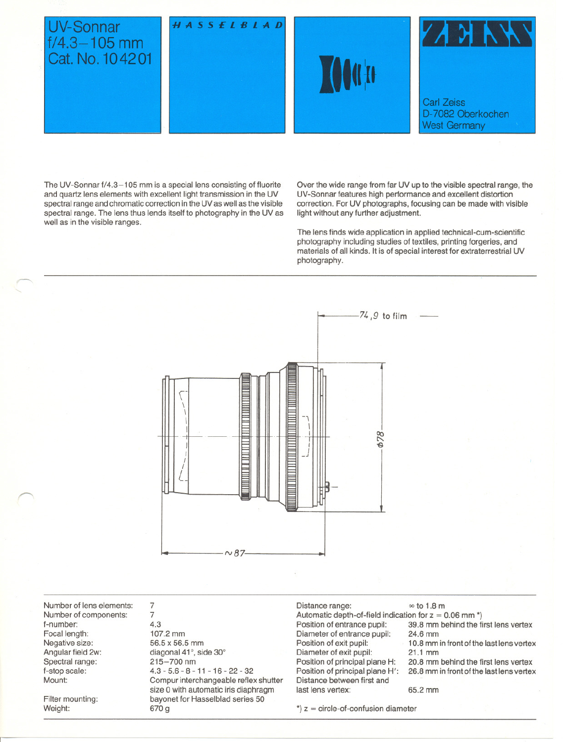

The UV-Sonnar f/4.3-105 mm is a special lens consisting of fluorite and quartz lens elements with excellent light transmission in the UV spectral range and chromatic correction in the UV as weil as the visible spectral range. The lens thus lends itself to photography in the UV as well as in the visible ranges.

Over the wide range from far UV up to the visible spectral range, the UV-Sonnar features high performance and excellent distortion correction. For UV photographs, focusing can be made with visible light without any further adjustment.

The lens finds wide application in applied technical-cum-scientific photography including studies of textiles, printing forgeries, and materials of all kinds. It is of special interest tor extraterrestrial UV photography.



Number of leng elements: Number of components: f-number: Focal length: Negative size: Angular field 2w: Spectral range: f-stop scale: Mount:

Filter mounting: Weight:

 $\ell'$ 

7 7 4.3 107.2 mm 56.5 x 56.5 mm diagonal 41°, side 30° 215-700 nm 4.3 - 5.6 - 8 - 11 - 16 - 22 - 32 Compur interchangeable reflex shutter size 0 with automatic iris diaphragm bayonet for Hasselblad series 50 670g

Distance range:  $\infty$  to 1.8 m Automatic depth-of-field indication for  $z = 0.06$  mm  $\degree$ )<br>Position of entrance pupil: 39.8 mm behind the f Diameter of entrance pupil:<br>Position of exit pupil: Diameter of exit pupil: 21.1 mm<br>Position of principal plane H: 20.8 mm Position of principal plane H: 20.8 mm behind the first lens vertex<br>Position of principal plane H': 26.8 mm in front of the last lens verte; Distance between first and last lens vertex: 65.2 mm

- 
- 39.8 mm behind the first lens vertex<br>24.6 mm
- 10.8 mm in front of the last lens vertex
- 
- 26.8 mm in front of the last lens vertex

 $*$ )  $z =$  circle-of-confusion diameter